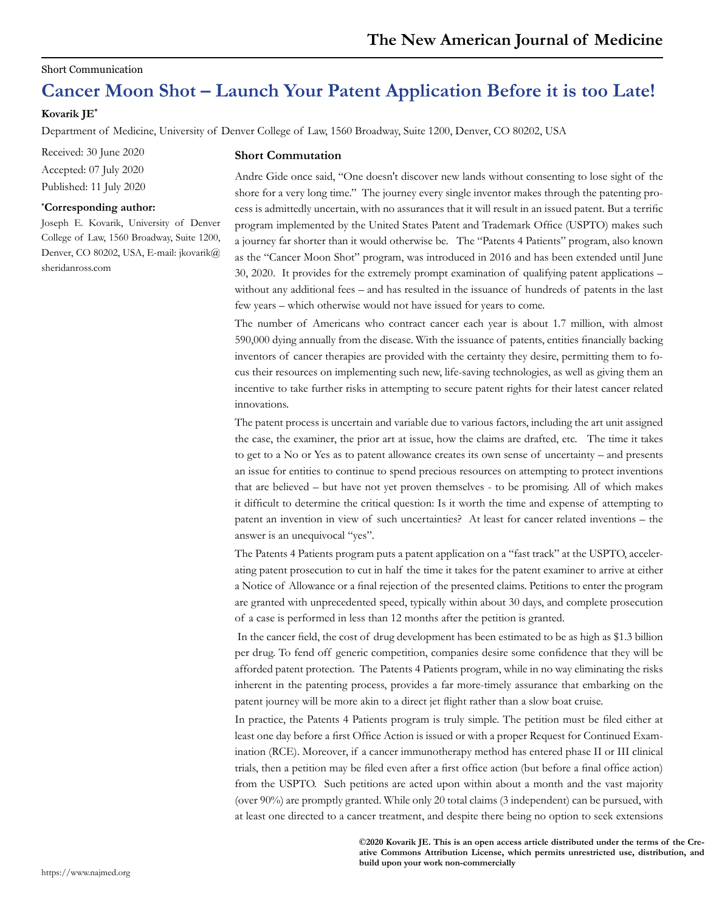#### Short Communication

# **Cancer Moon Shot – Launch Your Patent Application Before it is too Late!**

## **Kovarik JE\***

Department of Medicine, University of Denver College of Law, 1560 Broadway, Suite 1200, Denver, CO 80202, USA

Received: 30 June 2020 Accepted: 07 July 2020 Published: 11 July 2020

#### **\* Corresponding author:**

Joseph E. Kovarik, University of Denver College of Law, 1560 Broadway, Suite 1200, Denver, CO 80202, USA, E-mail: jkovarik@ sheridanross.com

### **Short Commutation**

Andre Gide once said, "One doesn't discover new lands without consenting to lose sight of the shore for a very long time." The journey every single inventor makes through the patenting process is admittedly uncertain, with no assurances that it will result in an issued patent. But a terrific program implemented by the United States Patent and Trademark Office (USPTO) makes such a journey far shorter than it would otherwise be. The "Patents 4 Patients" program, also known as the "Cancer Moon Shot" program, was introduced in 2016 and has been extended until June 30, 2020. It provides for the extremely prompt examination of qualifying patent applications – without any additional fees – and has resulted in the issuance of hundreds of patents in the last few years – which otherwise would not have issued for years to come.

The number of Americans who contract cancer each year is about 1.7 million, with almost 590,000 dying annually from the disease. With the issuance of patents, entities financially backing inventors of cancer therapies are provided with the certainty they desire, permitting them to focus their resources on implementing such new, life-saving technologies, as well as giving them an incentive to take further risks in attempting to secure patent rights for their latest cancer related innovations.

The patent process is uncertain and variable due to various factors, including the art unit assigned the case, the examiner, the prior art at issue, how the claims are drafted, etc. The time it takes to get to a No or Yes as to patent allowance creates its own sense of uncertainty – and presents an issue for entities to continue to spend precious resources on attempting to protect inventions that are believed – but have not yet proven themselves - to be promising. All of which makes it difficult to determine the critical question: Is it worth the time and expense of attempting to patent an invention in view of such uncertainties? At least for cancer related inventions – the answer is an unequivocal "yes".

The Patents 4 Patients program puts a patent application on a "fast track" at the USPTO, accelerating patent prosecution to cut in half the time it takes for the patent examiner to arrive at either a Notice of Allowance or a final rejection of the presented claims. Petitions to enter the program are granted with unprecedented speed, typically within about 30 days, and complete prosecution of a case is performed in less than 12 months after the petition is granted.

 In the cancer field, the cost of drug development has been estimated to be as high as \$1.3 billion per drug. To fend off generic competition, companies desire some confidence that they will be afforded patent protection. The Patents 4 Patients program, while in no way eliminating the risks inherent in the patenting process, provides a far more-timely assurance that embarking on the patent journey will be more akin to a direct jet flight rather than a slow boat cruise.

In practice, the Patents 4 Patients program is truly simple. The petition must be filed either at least one day before a first Office Action is issued or with a proper Request for Continued Examination (RCE). Moreover, if a cancer immunotherapy method has entered phase II or III clinical trials, then a petition may be filed even after a first office action (but before a final office action) from the USPTO. Such petitions are acted upon within about a month and the vast majority (over 90%) are promptly granted. While only 20 total claims (3 independent) can be pursued, with at least one directed to a cancer treatment, and despite there being no option to seek extensions